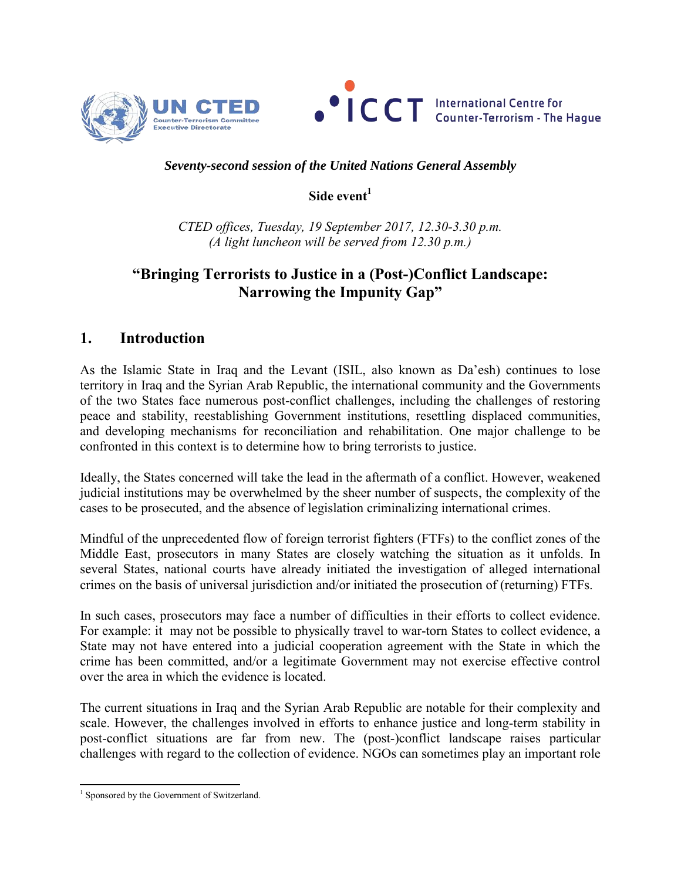



### *Seventy-second session of the United Nations General Assembly*

### **Side event<sup>1</sup>**

*CTED offices, Tuesday, 19 September 2017, 12.30-3.30 p.m. (A light luncheon will be served from 12.30 p.m.)* 

# **"Bringing Terrorists to Justice in a (Post-)Conflict Landscape: Narrowing the Impunity Gap"**

## **1. Introduction**

As the Islamic State in Iraq and the Levant (ISIL, also known as Da'esh) continues to lose territory in Iraq and the Syrian Arab Republic, the international community and the Governments of the two States face numerous post-conflict challenges, including the challenges of restoring peace and stability, reestablishing Government institutions, resettling displaced communities, and developing mechanisms for reconciliation and rehabilitation. One major challenge to be confronted in this context is to determine how to bring terrorists to justice.

Ideally, the States concerned will take the lead in the aftermath of a conflict. However, weakened judicial institutions may be overwhelmed by the sheer number of suspects, the complexity of the cases to be prosecuted, and the absence of legislation criminalizing international crimes.

Mindful of the unprecedented flow of foreign terrorist fighters (FTFs) to the conflict zones of the Middle East, prosecutors in many States are closely watching the situation as it unfolds. In several States, national courts have already initiated the investigation of alleged international crimes on the basis of universal jurisdiction and/or initiated the prosecution of (returning) FTFs.

In such cases, prosecutors may face a number of difficulties in their efforts to collect evidence. For example: it may not be possible to physically travel to war-torn States to collect evidence, a State may not have entered into a judicial cooperation agreement with the State in which the crime has been committed, and/or a legitimate Government may not exercise effective control over the area in which the evidence is located.

The current situations in Iraq and the Syrian Arab Republic are notable for their complexity and scale. However, the challenges involved in efforts to enhance justice and long-term stability in post-conflict situations are far from new. The (post-)conflict landscape raises particular challenges with regard to the collection of evidence. NGOs can sometimes play an important role

 1 Sponsored by the Government of Switzerland.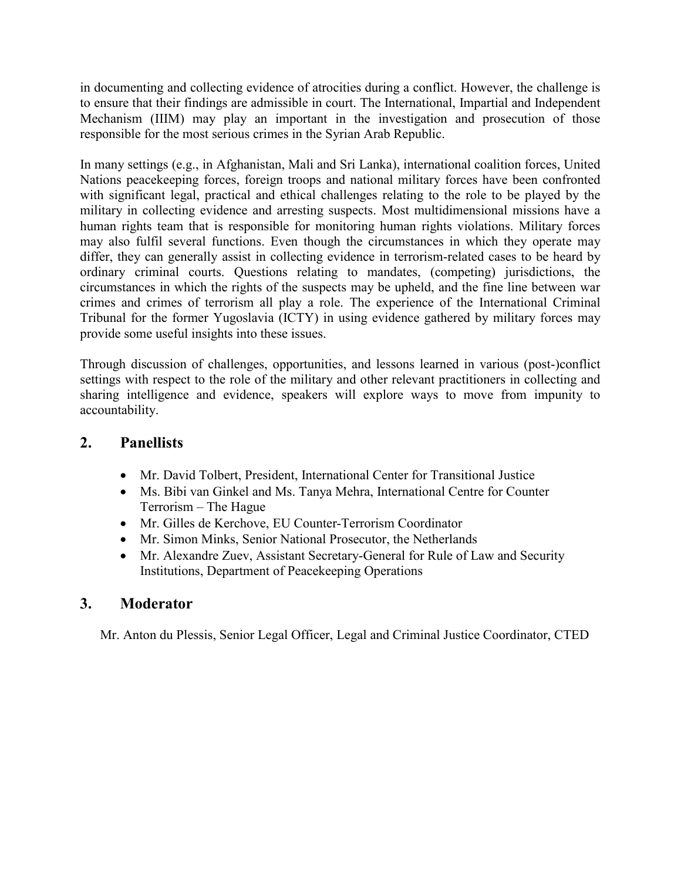in documenting and collecting evidence of atrocities during a conflict. However, the challenge is to ensure that their findings are admissible in court. The International, Impartial and Independent Mechanism (IIIM) may play an important in the investigation and prosecution of those responsible for the most serious crimes in the Syrian Arab Republic.

In many settings (e.g., in Afghanistan, Mali and Sri Lanka), international coalition forces, United Nations peacekeeping forces, foreign troops and national military forces have been confronted with significant legal, practical and ethical challenges relating to the role to be played by the military in collecting evidence and arresting suspects. Most multidimensional missions have a human rights team that is responsible for monitoring human rights violations. Military forces may also fulfil several functions. Even though the circumstances in which they operate may differ, they can generally assist in collecting evidence in terrorism-related cases to be heard by ordinary criminal courts. Questions relating to mandates, (competing) jurisdictions, the circumstances in which the rights of the suspects may be upheld, and the fine line between war crimes and crimes of terrorism all play a role. The experience of the International Criminal Tribunal for the former Yugoslavia (ICTY) in using evidence gathered by military forces may provide some useful insights into these issues.

Through discussion of challenges, opportunities, and lessons learned in various (post-)conflict settings with respect to the role of the military and other relevant practitioners in collecting and sharing intelligence and evidence, speakers will explore ways to move from impunity to accountability.

## **2. Panellists**

- Mr. David Tolbert, President, International Center for Transitional Justice
- Ms. Bibi van Ginkel and Ms. Tanya Mehra, International Centre for Counter Terrorism – The Hague
- Mr. Gilles de Kerchove, EU Counter-Terrorism Coordinator
- Mr. Simon Minks, Senior National Prosecutor, the Netherlands
- Mr. Alexandre Zuev, Assistant Secretary-General for Rule of Law and Security Institutions, Department of Peacekeeping Operations

## **3. Moderator**

Mr. Anton du Plessis, Senior Legal Officer, Legal and Criminal Justice Coordinator, CTED